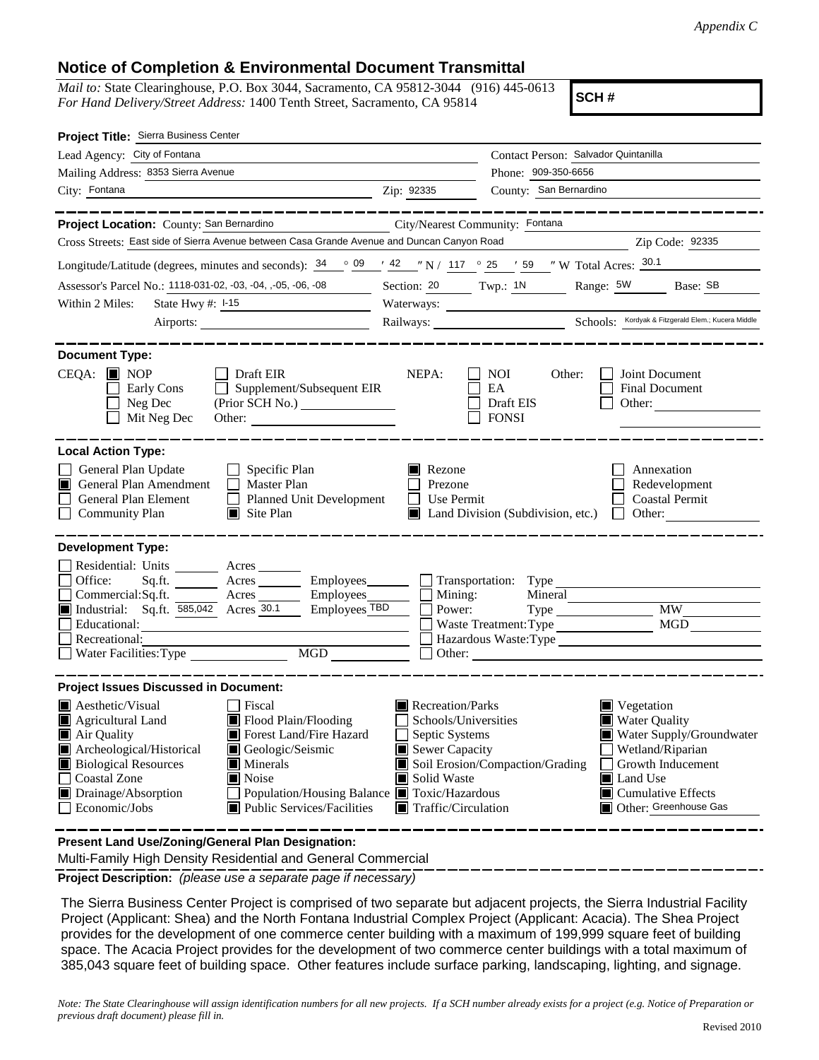## **Notice of Completion & Environmental Document Transmittal**

*Mail to:* State Clearinghouse, P.O. Box 3044, Sacramento, CA 95812-3044 (916) 445-0613 *For Hand Delivery/Street Address:* 1400 Tenth Street, Sacramento, CA 95814

**SCH #**

| Project Title: Sierra Business Center                                                                                                                                                                                                                                                                                             |                                                                                                                                                                                 |                                                                                                                                                                                                                                     |  |
|-----------------------------------------------------------------------------------------------------------------------------------------------------------------------------------------------------------------------------------------------------------------------------------------------------------------------------------|---------------------------------------------------------------------------------------------------------------------------------------------------------------------------------|-------------------------------------------------------------------------------------------------------------------------------------------------------------------------------------------------------------------------------------|--|
| Lead Agency: City of Fontana                                                                                                                                                                                                                                                                                                      | Contact Person: Salvador Quintanilla                                                                                                                                            |                                                                                                                                                                                                                                     |  |
| Mailing Address: 8353 Sierra Avenue                                                                                                                                                                                                                                                                                               |                                                                                                                                                                                 | Phone: 909-350-6656                                                                                                                                                                                                                 |  |
| City: Fontana<br><u> 1989 - Johann Stein, fransk politik (f. 1989)</u>                                                                                                                                                                                                                                                            | Zip: 92335                                                                                                                                                                      | County: San Bernardino                                                                                                                                                                                                              |  |
| _______                                                                                                                                                                                                                                                                                                                           |                                                                                                                                                                                 |                                                                                                                                                                                                                                     |  |
| Project Location: County: San Bernardino                                                                                                                                                                                                                                                                                          | City/Nearest Community: Fontana                                                                                                                                                 |                                                                                                                                                                                                                                     |  |
| Cross Streets: East side of Sierra Avenue between Casa Grande Avenue and Duncan Canyon Road                                                                                                                                                                                                                                       |                                                                                                                                                                                 | Zip Code: 92335                                                                                                                                                                                                                     |  |
| Longitude/Latitude (degrees, minutes and seconds): $\frac{34}{9}$ $\frac{09}{14}$ $\frac{42}{11}$ $\frac{117}{9}$ $\frac{25}{117}$ $\frac{59}{15}$ $\frac{1}{11}$ W Total Acres: $\frac{30.1}{11}$                                                                                                                                |                                                                                                                                                                                 |                                                                                                                                                                                                                                     |  |
| Assessor's Parcel No.: 1118-031-02, -03, -04, -05, -06, -08 Section: 20 Twp.: 1N Range: 5W Base: SB                                                                                                                                                                                                                               |                                                                                                                                                                                 |                                                                                                                                                                                                                                     |  |
| State Hwy #: 1-15<br>Within 2 Miles:<br><u> 1980 - Johann Barn, mars ann an t-</u>                                                                                                                                                                                                                                                |                                                                                                                                                                                 |                                                                                                                                                                                                                                     |  |
| Airports:                                                                                                                                                                                                                                                                                                                         |                                                                                                                                                                                 |                                                                                                                                                                                                                                     |  |
|                                                                                                                                                                                                                                                                                                                                   |                                                                                                                                                                                 |                                                                                                                                                                                                                                     |  |
| <b>Document Type:</b><br>$CEQA:$ MOP<br>$\Box$ Draft EIR<br>Supplement/Subsequent EIR<br>Early Cons<br>$\mathbf{L}$<br>Neg Dec<br>$\blacksquare$<br>Mit Neg Dec<br>Other:                                                                                                                                                         | NEPA:                                                                                                                                                                           | NOI<br>Other:<br>Joint Document<br>EA<br><b>Final Document</b><br>Draft EIS<br>Other:<br><b>FONSI</b>                                                                                                                               |  |
| <b>Local Action Type:</b><br>General Plan Update<br>$\Box$ Specific Plan<br>General Plan Amendment<br>$\Box$ Master Plan<br>IШ<br>General Plan Element<br>Planned Unit Development<br><b>Community Plan</b><br>$\Box$ Site Plan                                                                                                   | $\blacksquare$ Rezone<br>Prezone<br>Use Permit<br>$\mathsf{L}$                                                                                                                  | Annexation<br>Redevelopment<br><b>Coastal Permit</b><br>Land Division (Subdivision, etc.)<br>$\Box$ Other:                                                                                                                          |  |
| <b>Development Type:</b>                                                                                                                                                                                                                                                                                                          |                                                                                                                                                                                 |                                                                                                                                                                                                                                     |  |
| Residential: Units ________ Acres _______<br>Office:<br>Sq.ft. ________ Acres _________ Employees________ __ Transportation: Type<br>Acres Employees<br>Commercial:Sq.ft.<br>Industrial: Sq.ft. 585,042 Acres 30.1<br>Employees TBD<br>Educational:<br>Recreational:<br>$\boxed{\text{MGD}}$<br>Water Facilities: Type            | Mining:<br>Power:                                                                                                                                                               | Mineral<br><b>MW</b><br>MGD<br>Waste Treatment: Type<br>Hazardous Waste: Type<br>Other: <u>International Communication</u>                                                                                                          |  |
| <b>Project Issues Discussed in Document:</b>                                                                                                                                                                                                                                                                                      |                                                                                                                                                                                 |                                                                                                                                                                                                                                     |  |
| $\blacksquare$ Aesthetic/Visual<br>Fiscal<br>Flood Plain/Flooding<br>Agricultural Land<br>Forest Land/Fire Hazard<br>Air Quality<br>Archeological/Historical<br>Geologic/Seismic<br><b>Biological Resources</b><br>Minerals<br>Coastal Zone<br>Noise<br>Drainage/Absorption<br>Economic/Jobs<br><b>Public Services/Facilities</b> | Recreation/Parks<br>Schools/Universities<br>Septic Systems<br>Sewer Capacity<br>Solid Waste<br>Population/Housing Balance Toxic/Hazardous<br>$\blacksquare$ Traffic/Circulation | $\blacksquare$ Vegetation<br><b>Water Quality</b><br>Water Supply/Groundwater<br>Wetland/Riparian<br>Soil Erosion/Compaction/Grading<br>Growth Inducement<br>Land Use<br>$\blacksquare$ Cumulative Effects<br>Other: Greenhouse Gas |  |
| Present Land Use/Zoning/General Plan Designation:                                                                                                                                                                                                                                                                                 |                                                                                                                                                                                 |                                                                                                                                                                                                                                     |  |

Multi-Family High Density Residential and General Commercial

**Project Description:** *(please use a separate page if necessary)*

The Sierra Business Center Project is comprised of two separate but adjacent projects, the Sierra Industrial Facility Project (Applicant: Shea) and the North Fontana Industrial Complex Project (Applicant: Acacia). The Shea Project provides for the development of one commerce center building with a maximum of 199,999 square feet of building space. The Acacia Project provides for the development of two commerce center buildings with a total maximum of 385,043 square feet of building space. Other features include surface parking, landscaping, lighting, and signage.

*Note: The State Clearinghouse will assign identification numbers for all new projects. If a SCH number already exists for a project (e.g. Notice of Preparation or previous draft document) please fill in.*